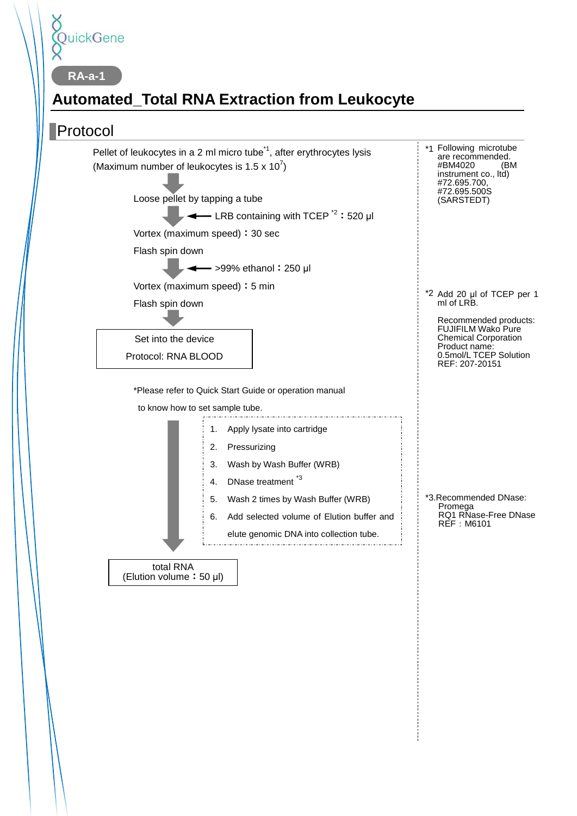

# **Automated\_Total RNA Extraction from Leukocyte**

### Protocol